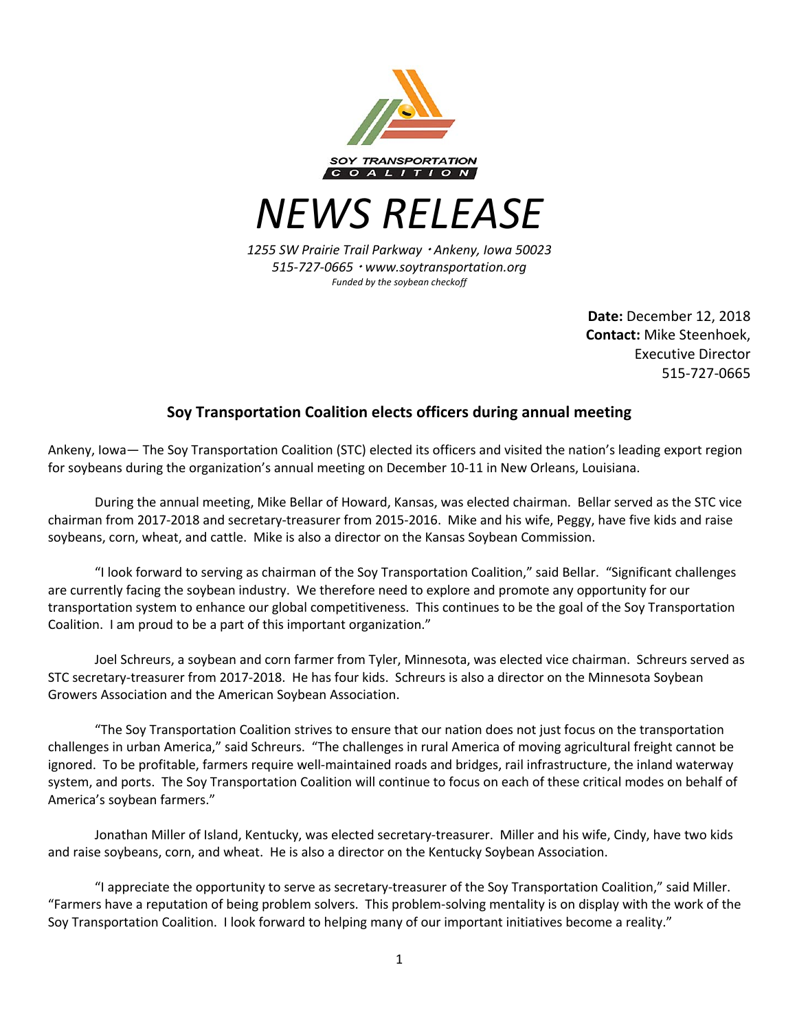

*NEWS RELEASE*

*1255 SW Prairie Trail Parkway* <sup>¬</sup> *Ankeny, Iowa 50023 515-727-0665* <sup>¬</sup> *www.soytransportation.org Funded by the soybean checkoff*

> **Date:** December 12, 2018 **Contact:** Mike Steenhoek, Executive Director 515-727-0665

## **Soy Transportation Coalition elects officers during annual meeting**

Ankeny, Iowa— The Soy Transportation Coalition (STC) elected its officers and visited the nation's leading export region for soybeans during the organization's annual meeting on December 10-11 in New Orleans, Louisiana.

During the annual meeting, Mike Bellar of Howard, Kansas, was elected chairman. Bellar served as the STC vice chairman from 2017-2018 and secretary-treasurer from 2015-2016. Mike and his wife, Peggy, have five kids and raise soybeans, corn, wheat, and cattle. Mike is also a director on the Kansas Soybean Commission.

"I look forward to serving as chairman of the Soy Transportation Coalition," said Bellar. "Significant challenges are currently facing the soybean industry. We therefore need to explore and promote any opportunity for our transportation system to enhance our global competitiveness. This continues to be the goal of the Soy Transportation Coalition. I am proud to be a part of this important organization."

Joel Schreurs, a soybean and corn farmer from Tyler, Minnesota, was elected vice chairman. Schreurs served as STC secretary-treasurer from 2017-2018. He has four kids. Schreurs is also a director on the Minnesota Soybean Growers Association and the American Soybean Association.

"The Soy Transportation Coalition strives to ensure that our nation does not just focus on the transportation challenges in urban America," said Schreurs. "The challenges in rural America of moving agricultural freight cannot be ignored. To be profitable, farmers require well-maintained roads and bridges, rail infrastructure, the inland waterway system, and ports. The Soy Transportation Coalition will continue to focus on each of these critical modes on behalf of America's soybean farmers."

Jonathan Miller of Island, Kentucky, was elected secretary-treasurer. Miller and his wife, Cindy, have two kids and raise soybeans, corn, and wheat. He is also a director on the Kentucky Soybean Association.

"I appreciate the opportunity to serve as secretary-treasurer of the Soy Transportation Coalition," said Miller. "Farmers have a reputation of being problem solvers. This problem-solving mentality is on display with the work of the Soy Transportation Coalition. I look forward to helping many of our important initiatives become a reality."